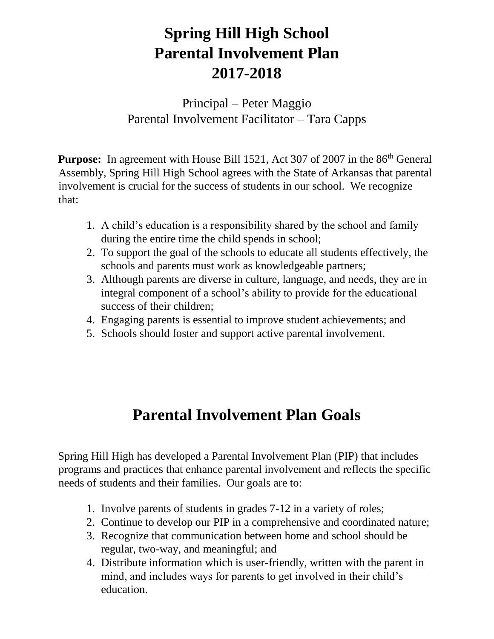## **Spring Hill High School Parental Involvement Plan 2017-2018**

Principal – Peter Maggio Parental Involvement Facilitator – Tara Capps

**Purpose:** In agreement with House Bill 1521, Act 307 of 2007 in the 86<sup>th</sup> General Assembly, Spring Hill High School agrees with the State of Arkansas that parental involvement is crucial for the success of students in our school. We recognize that:

- 1. A child's education is a responsibility shared by the school and family during the entire time the child spends in school;
- 2. To support the goal of the schools to educate all students effectively, the schools and parents must work as knowledgeable partners;
- 3. Although parents are diverse in culture, language, and needs, they are in integral component of a school's ability to provide for the educational success of their children;
- 4. Engaging parents is essential to improve student achievements; and
- 5. Schools should foster and support active parental involvement.

# **Parental Involvement Plan Goals**

Spring Hill High has developed a Parental Involvement Plan (PIP) that includes programs and practices that enhance parental involvement and reflects the specific needs of students and their families. Our goals are to:

- 1. Involve parents of students in grades 7-12 in a variety of roles;
- 2. Continue to develop our PIP in a comprehensive and coordinated nature;
- 3. Recognize that communication between home and school should be regular, two-way, and meaningful; and
- 4. Distribute information which is user-friendly, written with the parent in mind, and includes ways for parents to get involved in their child's education.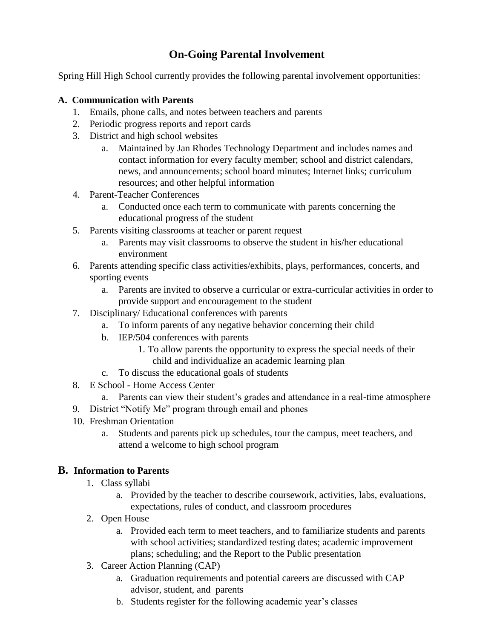## **On-Going Parental Involvement**

Spring Hill High School currently provides the following parental involvement opportunities:

### **A. Communication with Parents**

- 1. Emails, phone calls, and notes between teachers and parents
- 2. Periodic progress reports and report cards
- 3. District and high school websites
	- a. Maintained by Jan Rhodes Technology Department and includes names and contact information for every faculty member; school and district calendars, news, and announcements; school board minutes; Internet links; curriculum resources; and other helpful information
- 4. Parent-Teacher Conferences
	- a. Conducted once each term to communicate with parents concerning the educational progress of the student
- 5. Parents visiting classrooms at teacher or parent request
	- a. Parents may visit classrooms to observe the student in his/her educational environment
- 6. Parents attending specific class activities/exhibits, plays, performances, concerts, and sporting events
	- a. Parents are invited to observe a curricular or extra-curricular activities in order to provide support and encouragement to the student
- 7. Disciplinary/ Educational conferences with parents
	- a. To inform parents of any negative behavior concerning their child
	- b. IEP/504 conferences with parents
		- 1. To allow parents the opportunity to express the special needs of their child and individualize an academic learning plan
	- c. To discuss the educational goals of students
- 8. E School Home Access Center
- a. Parents can view their student's grades and attendance in a real-time atmosphere
- 9. District "Notify Me" program through email and phones
- 10. Freshman Orientation
	- a. Students and parents pick up schedules, tour the campus, meet teachers, and attend a welcome to high school program

### **B. Information to Parents**

- 1. Class syllabi
	- a. Provided by the teacher to describe coursework, activities, labs, evaluations, expectations, rules of conduct, and classroom procedures
- 2. Open House
	- a. Provided each term to meet teachers, and to familiarize students and parents with school activities; standardized testing dates; academic improvement plans; scheduling; and the Report to the Public presentation
- 3. Career Action Planning (CAP)
	- a. Graduation requirements and potential careers are discussed with CAP advisor, student, and parents
	- b. Students register for the following academic year's classes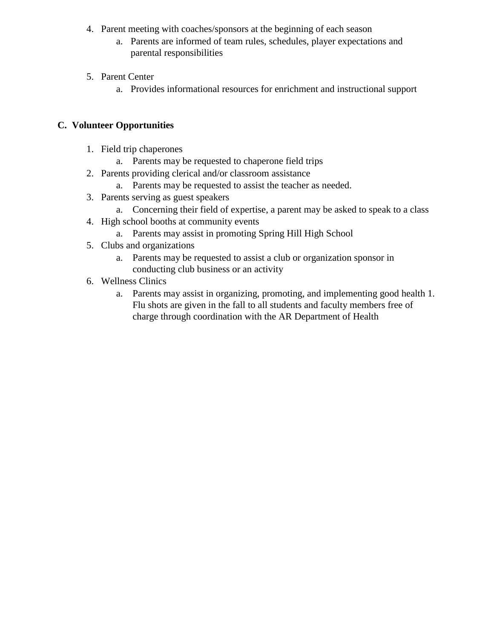- 4. Parent meeting with coaches/sponsors at the beginning of each season
	- a. Parents are informed of team rules, schedules, player expectations and parental responsibilities
- 5. Parent Center
	- a. Provides informational resources for enrichment and instructional support

## **C. Volunteer Opportunities**

- 1. Field trip chaperones
	- a. Parents may be requested to chaperone field trips
- 2. Parents providing clerical and/or classroom assistance
	- a. Parents may be requested to assist the teacher as needed.
- 3. Parents serving as guest speakers
	- a. Concerning their field of expertise, a parent may be asked to speak to a class
- 4. High school booths at community events
	- a. Parents may assist in promoting Spring Hill High School
- 5. Clubs and organizations
	- a. Parents may be requested to assist a club or organization sponsor in conducting club business or an activity
- 6. Wellness Clinics
	- a. Parents may assist in organizing, promoting, and implementing good health 1. Flu shots are given in the fall to all students and faculty members free of charge through coordination with the AR Department of Health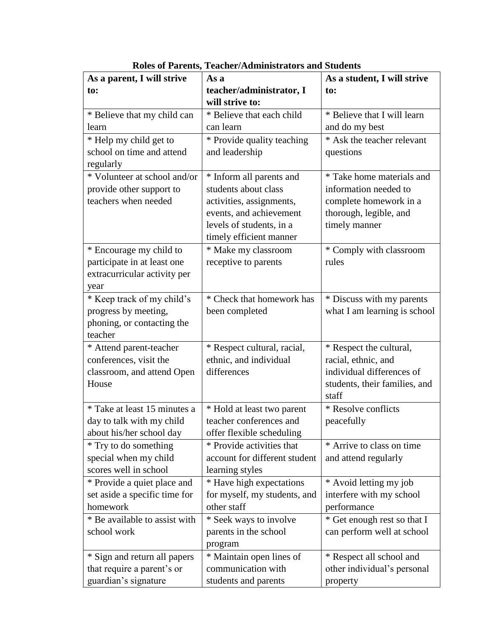| teacher/administrator, I<br>to:<br>to:<br>will strive to:<br>* Believe that I will learn<br>* Believe that each child<br>* Believe that my child can<br>and do my best<br>can learn<br>learn<br>* Help my child get to<br>* Provide quality teaching<br>* Ask the teacher relevant<br>school on time and attend<br>and leadership<br>questions<br>regularly<br>* Volunteer at school and/or<br>* Take home materials and<br>* Inform all parents and<br>students about class<br>information needed to<br>provide other support to<br>teachers when needed<br>activities, assignments,<br>complete homework in a<br>events, and achievement<br>thorough, legible, and<br>levels of students, in a<br>timely manner<br>timely efficient manner<br>* Encourage my child to<br>* Make my classroom<br>* Comply with classroom<br>participate in at least one<br>receptive to parents<br>rules<br>extracurricular activity per<br>year<br>* Keep track of my child's<br>* Check that homework has<br>* Discuss with my parents<br>progress by meeting,<br>what I am learning is school<br>been completed<br>phoning, or contacting the<br>teacher<br>* Respect cultural, racial,<br>* Respect the cultural,<br>* Attend parent-teacher<br>conferences, visit the<br>ethnic, and individual<br>racial, ethnic, and<br>differences<br>individual differences of<br>classroom, and attend Open<br>House<br>students, their families, and<br>staff<br>* Take at least 15 minutes a<br>* Resolve conflicts<br>* Hold at least two parent<br>day to talk with my child<br>teacher conferences and<br>peacefully<br>about his/her school day<br>offer flexible scheduling<br>* Arrive to class on time<br>* Try to do something<br>* Provide activities that<br>special when my child<br>account for different student<br>and attend regularly<br>scores well in school<br>learning styles<br>* Provide a quiet place and<br>* Have high expectations<br>* Avoid letting my job<br>set aside a specific time for<br>interfere with my school<br>for myself, my students, and<br>other staff<br>homework<br>performance<br>* Be available to assist with<br>* Seek ways to involve<br>* Get enough rest so that I<br>can perform well at school<br>school work<br>parents in the school<br>program<br>* Sign and return all papers<br>* Maintain open lines of<br>* Respect all school and | As a parent, I will strive | As a               | As a student, I will strive |
|-------------------------------------------------------------------------------------------------------------------------------------------------------------------------------------------------------------------------------------------------------------------------------------------------------------------------------------------------------------------------------------------------------------------------------------------------------------------------------------------------------------------------------------------------------------------------------------------------------------------------------------------------------------------------------------------------------------------------------------------------------------------------------------------------------------------------------------------------------------------------------------------------------------------------------------------------------------------------------------------------------------------------------------------------------------------------------------------------------------------------------------------------------------------------------------------------------------------------------------------------------------------------------------------------------------------------------------------------------------------------------------------------------------------------------------------------------------------------------------------------------------------------------------------------------------------------------------------------------------------------------------------------------------------------------------------------------------------------------------------------------------------------------------------------------------------------------------------------------------------------------------------------------------------------------------------------------------------------------------------------------------------------------------------------------------------------------------------------------------------------------------------------------------------------------------------------------------------------------------------------------------------------------------------------------------------------------------------------------------------------------|----------------------------|--------------------|-----------------------------|
|                                                                                                                                                                                                                                                                                                                                                                                                                                                                                                                                                                                                                                                                                                                                                                                                                                                                                                                                                                                                                                                                                                                                                                                                                                                                                                                                                                                                                                                                                                                                                                                                                                                                                                                                                                                                                                                                                                                                                                                                                                                                                                                                                                                                                                                                                                                                                                               |                            |                    |                             |
|                                                                                                                                                                                                                                                                                                                                                                                                                                                                                                                                                                                                                                                                                                                                                                                                                                                                                                                                                                                                                                                                                                                                                                                                                                                                                                                                                                                                                                                                                                                                                                                                                                                                                                                                                                                                                                                                                                                                                                                                                                                                                                                                                                                                                                                                                                                                                                               |                            |                    |                             |
|                                                                                                                                                                                                                                                                                                                                                                                                                                                                                                                                                                                                                                                                                                                                                                                                                                                                                                                                                                                                                                                                                                                                                                                                                                                                                                                                                                                                                                                                                                                                                                                                                                                                                                                                                                                                                                                                                                                                                                                                                                                                                                                                                                                                                                                                                                                                                                               |                            |                    |                             |
|                                                                                                                                                                                                                                                                                                                                                                                                                                                                                                                                                                                                                                                                                                                                                                                                                                                                                                                                                                                                                                                                                                                                                                                                                                                                                                                                                                                                                                                                                                                                                                                                                                                                                                                                                                                                                                                                                                                                                                                                                                                                                                                                                                                                                                                                                                                                                                               |                            |                    |                             |
|                                                                                                                                                                                                                                                                                                                                                                                                                                                                                                                                                                                                                                                                                                                                                                                                                                                                                                                                                                                                                                                                                                                                                                                                                                                                                                                                                                                                                                                                                                                                                                                                                                                                                                                                                                                                                                                                                                                                                                                                                                                                                                                                                                                                                                                                                                                                                                               |                            |                    |                             |
|                                                                                                                                                                                                                                                                                                                                                                                                                                                                                                                                                                                                                                                                                                                                                                                                                                                                                                                                                                                                                                                                                                                                                                                                                                                                                                                                                                                                                                                                                                                                                                                                                                                                                                                                                                                                                                                                                                                                                                                                                                                                                                                                                                                                                                                                                                                                                                               |                            |                    |                             |
|                                                                                                                                                                                                                                                                                                                                                                                                                                                                                                                                                                                                                                                                                                                                                                                                                                                                                                                                                                                                                                                                                                                                                                                                                                                                                                                                                                                                                                                                                                                                                                                                                                                                                                                                                                                                                                                                                                                                                                                                                                                                                                                                                                                                                                                                                                                                                                               |                            |                    |                             |
|                                                                                                                                                                                                                                                                                                                                                                                                                                                                                                                                                                                                                                                                                                                                                                                                                                                                                                                                                                                                                                                                                                                                                                                                                                                                                                                                                                                                                                                                                                                                                                                                                                                                                                                                                                                                                                                                                                                                                                                                                                                                                                                                                                                                                                                                                                                                                                               |                            |                    |                             |
|                                                                                                                                                                                                                                                                                                                                                                                                                                                                                                                                                                                                                                                                                                                                                                                                                                                                                                                                                                                                                                                                                                                                                                                                                                                                                                                                                                                                                                                                                                                                                                                                                                                                                                                                                                                                                                                                                                                                                                                                                                                                                                                                                                                                                                                                                                                                                                               |                            |                    |                             |
|                                                                                                                                                                                                                                                                                                                                                                                                                                                                                                                                                                                                                                                                                                                                                                                                                                                                                                                                                                                                                                                                                                                                                                                                                                                                                                                                                                                                                                                                                                                                                                                                                                                                                                                                                                                                                                                                                                                                                                                                                                                                                                                                                                                                                                                                                                                                                                               |                            |                    |                             |
|                                                                                                                                                                                                                                                                                                                                                                                                                                                                                                                                                                                                                                                                                                                                                                                                                                                                                                                                                                                                                                                                                                                                                                                                                                                                                                                                                                                                                                                                                                                                                                                                                                                                                                                                                                                                                                                                                                                                                                                                                                                                                                                                                                                                                                                                                                                                                                               |                            |                    |                             |
|                                                                                                                                                                                                                                                                                                                                                                                                                                                                                                                                                                                                                                                                                                                                                                                                                                                                                                                                                                                                                                                                                                                                                                                                                                                                                                                                                                                                                                                                                                                                                                                                                                                                                                                                                                                                                                                                                                                                                                                                                                                                                                                                                                                                                                                                                                                                                                               |                            |                    |                             |
|                                                                                                                                                                                                                                                                                                                                                                                                                                                                                                                                                                                                                                                                                                                                                                                                                                                                                                                                                                                                                                                                                                                                                                                                                                                                                                                                                                                                                                                                                                                                                                                                                                                                                                                                                                                                                                                                                                                                                                                                                                                                                                                                                                                                                                                                                                                                                                               |                            |                    |                             |
|                                                                                                                                                                                                                                                                                                                                                                                                                                                                                                                                                                                                                                                                                                                                                                                                                                                                                                                                                                                                                                                                                                                                                                                                                                                                                                                                                                                                                                                                                                                                                                                                                                                                                                                                                                                                                                                                                                                                                                                                                                                                                                                                                                                                                                                                                                                                                                               |                            |                    |                             |
|                                                                                                                                                                                                                                                                                                                                                                                                                                                                                                                                                                                                                                                                                                                                                                                                                                                                                                                                                                                                                                                                                                                                                                                                                                                                                                                                                                                                                                                                                                                                                                                                                                                                                                                                                                                                                                                                                                                                                                                                                                                                                                                                                                                                                                                                                                                                                                               |                            |                    |                             |
|                                                                                                                                                                                                                                                                                                                                                                                                                                                                                                                                                                                                                                                                                                                                                                                                                                                                                                                                                                                                                                                                                                                                                                                                                                                                                                                                                                                                                                                                                                                                                                                                                                                                                                                                                                                                                                                                                                                                                                                                                                                                                                                                                                                                                                                                                                                                                                               |                            |                    |                             |
|                                                                                                                                                                                                                                                                                                                                                                                                                                                                                                                                                                                                                                                                                                                                                                                                                                                                                                                                                                                                                                                                                                                                                                                                                                                                                                                                                                                                                                                                                                                                                                                                                                                                                                                                                                                                                                                                                                                                                                                                                                                                                                                                                                                                                                                                                                                                                                               |                            |                    |                             |
|                                                                                                                                                                                                                                                                                                                                                                                                                                                                                                                                                                                                                                                                                                                                                                                                                                                                                                                                                                                                                                                                                                                                                                                                                                                                                                                                                                                                                                                                                                                                                                                                                                                                                                                                                                                                                                                                                                                                                                                                                                                                                                                                                                                                                                                                                                                                                                               |                            |                    |                             |
|                                                                                                                                                                                                                                                                                                                                                                                                                                                                                                                                                                                                                                                                                                                                                                                                                                                                                                                                                                                                                                                                                                                                                                                                                                                                                                                                                                                                                                                                                                                                                                                                                                                                                                                                                                                                                                                                                                                                                                                                                                                                                                                                                                                                                                                                                                                                                                               |                            |                    |                             |
|                                                                                                                                                                                                                                                                                                                                                                                                                                                                                                                                                                                                                                                                                                                                                                                                                                                                                                                                                                                                                                                                                                                                                                                                                                                                                                                                                                                                                                                                                                                                                                                                                                                                                                                                                                                                                                                                                                                                                                                                                                                                                                                                                                                                                                                                                                                                                                               |                            |                    |                             |
|                                                                                                                                                                                                                                                                                                                                                                                                                                                                                                                                                                                                                                                                                                                                                                                                                                                                                                                                                                                                                                                                                                                                                                                                                                                                                                                                                                                                                                                                                                                                                                                                                                                                                                                                                                                                                                                                                                                                                                                                                                                                                                                                                                                                                                                                                                                                                                               |                            |                    |                             |
|                                                                                                                                                                                                                                                                                                                                                                                                                                                                                                                                                                                                                                                                                                                                                                                                                                                                                                                                                                                                                                                                                                                                                                                                                                                                                                                                                                                                                                                                                                                                                                                                                                                                                                                                                                                                                                                                                                                                                                                                                                                                                                                                                                                                                                                                                                                                                                               |                            |                    |                             |
|                                                                                                                                                                                                                                                                                                                                                                                                                                                                                                                                                                                                                                                                                                                                                                                                                                                                                                                                                                                                                                                                                                                                                                                                                                                                                                                                                                                                                                                                                                                                                                                                                                                                                                                                                                                                                                                                                                                                                                                                                                                                                                                                                                                                                                                                                                                                                                               |                            |                    |                             |
|                                                                                                                                                                                                                                                                                                                                                                                                                                                                                                                                                                                                                                                                                                                                                                                                                                                                                                                                                                                                                                                                                                                                                                                                                                                                                                                                                                                                                                                                                                                                                                                                                                                                                                                                                                                                                                                                                                                                                                                                                                                                                                                                                                                                                                                                                                                                                                               |                            |                    |                             |
|                                                                                                                                                                                                                                                                                                                                                                                                                                                                                                                                                                                                                                                                                                                                                                                                                                                                                                                                                                                                                                                                                                                                                                                                                                                                                                                                                                                                                                                                                                                                                                                                                                                                                                                                                                                                                                                                                                                                                                                                                                                                                                                                                                                                                                                                                                                                                                               |                            |                    |                             |
|                                                                                                                                                                                                                                                                                                                                                                                                                                                                                                                                                                                                                                                                                                                                                                                                                                                                                                                                                                                                                                                                                                                                                                                                                                                                                                                                                                                                                                                                                                                                                                                                                                                                                                                                                                                                                                                                                                                                                                                                                                                                                                                                                                                                                                                                                                                                                                               |                            |                    |                             |
|                                                                                                                                                                                                                                                                                                                                                                                                                                                                                                                                                                                                                                                                                                                                                                                                                                                                                                                                                                                                                                                                                                                                                                                                                                                                                                                                                                                                                                                                                                                                                                                                                                                                                                                                                                                                                                                                                                                                                                                                                                                                                                                                                                                                                                                                                                                                                                               |                            |                    |                             |
|                                                                                                                                                                                                                                                                                                                                                                                                                                                                                                                                                                                                                                                                                                                                                                                                                                                                                                                                                                                                                                                                                                                                                                                                                                                                                                                                                                                                                                                                                                                                                                                                                                                                                                                                                                                                                                                                                                                                                                                                                                                                                                                                                                                                                                                                                                                                                                               |                            |                    |                             |
|                                                                                                                                                                                                                                                                                                                                                                                                                                                                                                                                                                                                                                                                                                                                                                                                                                                                                                                                                                                                                                                                                                                                                                                                                                                                                                                                                                                                                                                                                                                                                                                                                                                                                                                                                                                                                                                                                                                                                                                                                                                                                                                                                                                                                                                                                                                                                                               |                            |                    |                             |
|                                                                                                                                                                                                                                                                                                                                                                                                                                                                                                                                                                                                                                                                                                                                                                                                                                                                                                                                                                                                                                                                                                                                                                                                                                                                                                                                                                                                                                                                                                                                                                                                                                                                                                                                                                                                                                                                                                                                                                                                                                                                                                                                                                                                                                                                                                                                                                               |                            |                    |                             |
|                                                                                                                                                                                                                                                                                                                                                                                                                                                                                                                                                                                                                                                                                                                                                                                                                                                                                                                                                                                                                                                                                                                                                                                                                                                                                                                                                                                                                                                                                                                                                                                                                                                                                                                                                                                                                                                                                                                                                                                                                                                                                                                                                                                                                                                                                                                                                                               |                            |                    |                             |
|                                                                                                                                                                                                                                                                                                                                                                                                                                                                                                                                                                                                                                                                                                                                                                                                                                                                                                                                                                                                                                                                                                                                                                                                                                                                                                                                                                                                                                                                                                                                                                                                                                                                                                                                                                                                                                                                                                                                                                                                                                                                                                                                                                                                                                                                                                                                                                               |                            |                    |                             |
|                                                                                                                                                                                                                                                                                                                                                                                                                                                                                                                                                                                                                                                                                                                                                                                                                                                                                                                                                                                                                                                                                                                                                                                                                                                                                                                                                                                                                                                                                                                                                                                                                                                                                                                                                                                                                                                                                                                                                                                                                                                                                                                                                                                                                                                                                                                                                                               |                            |                    |                             |
|                                                                                                                                                                                                                                                                                                                                                                                                                                                                                                                                                                                                                                                                                                                                                                                                                                                                                                                                                                                                                                                                                                                                                                                                                                                                                                                                                                                                                                                                                                                                                                                                                                                                                                                                                                                                                                                                                                                                                                                                                                                                                                                                                                                                                                                                                                                                                                               |                            |                    |                             |
|                                                                                                                                                                                                                                                                                                                                                                                                                                                                                                                                                                                                                                                                                                                                                                                                                                                                                                                                                                                                                                                                                                                                                                                                                                                                                                                                                                                                                                                                                                                                                                                                                                                                                                                                                                                                                                                                                                                                                                                                                                                                                                                                                                                                                                                                                                                                                                               |                            |                    |                             |
|                                                                                                                                                                                                                                                                                                                                                                                                                                                                                                                                                                                                                                                                                                                                                                                                                                                                                                                                                                                                                                                                                                                                                                                                                                                                                                                                                                                                                                                                                                                                                                                                                                                                                                                                                                                                                                                                                                                                                                                                                                                                                                                                                                                                                                                                                                                                                                               |                            |                    |                             |
|                                                                                                                                                                                                                                                                                                                                                                                                                                                                                                                                                                                                                                                                                                                                                                                                                                                                                                                                                                                                                                                                                                                                                                                                                                                                                                                                                                                                                                                                                                                                                                                                                                                                                                                                                                                                                                                                                                                                                                                                                                                                                                                                                                                                                                                                                                                                                                               |                            |                    |                             |
|                                                                                                                                                                                                                                                                                                                                                                                                                                                                                                                                                                                                                                                                                                                                                                                                                                                                                                                                                                                                                                                                                                                                                                                                                                                                                                                                                                                                                                                                                                                                                                                                                                                                                                                                                                                                                                                                                                                                                                                                                                                                                                                                                                                                                                                                                                                                                                               |                            |                    |                             |
|                                                                                                                                                                                                                                                                                                                                                                                                                                                                                                                                                                                                                                                                                                                                                                                                                                                                                                                                                                                                                                                                                                                                                                                                                                                                                                                                                                                                                                                                                                                                                                                                                                                                                                                                                                                                                                                                                                                                                                                                                                                                                                                                                                                                                                                                                                                                                                               | that require a parent's or | communication with | other individual's personal |
| guardian's signature<br>students and parents<br>property                                                                                                                                                                                                                                                                                                                                                                                                                                                                                                                                                                                                                                                                                                                                                                                                                                                                                                                                                                                                                                                                                                                                                                                                                                                                                                                                                                                                                                                                                                                                                                                                                                                                                                                                                                                                                                                                                                                                                                                                                                                                                                                                                                                                                                                                                                                      |                            |                    |                             |

**Roles of Parents, Teacher/Administrators and Students**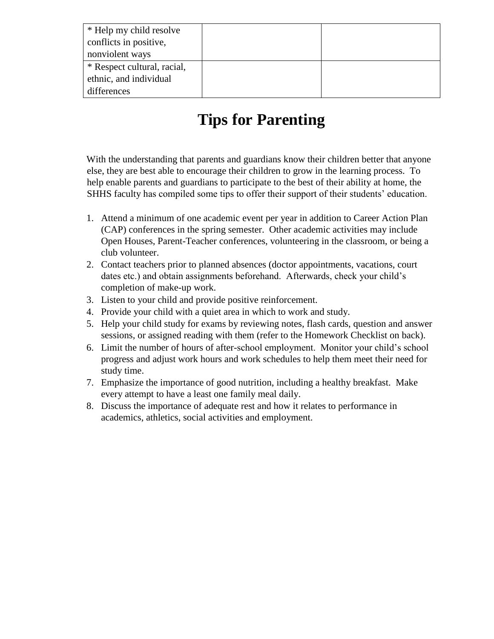| * Help my child resolve<br>conflicts in positive, |  |
|---------------------------------------------------|--|
| nonviolent ways                                   |  |
| * Respect cultural, racial,                       |  |
| ethnic, and individual                            |  |
| differences                                       |  |

## **Tips for Parenting**

With the understanding that parents and guardians know their children better that anyone else, they are best able to encourage their children to grow in the learning process. To help enable parents and guardians to participate to the best of their ability at home, the SHHS faculty has compiled some tips to offer their support of their students' education.

- 1. Attend a minimum of one academic event per year in addition to Career Action Plan (CAP) conferences in the spring semester. Other academic activities may include Open Houses, Parent-Teacher conferences, volunteering in the classroom, or being a club volunteer.
- 2. Contact teachers prior to planned absences (doctor appointments, vacations, court dates etc.) and obtain assignments beforehand. Afterwards, check your child's completion of make-up work.
- 3. Listen to your child and provide positive reinforcement.
- 4. Provide your child with a quiet area in which to work and study.
- 5. Help your child study for exams by reviewing notes, flash cards, question and answer sessions, or assigned reading with them (refer to the Homework Checklist on back).
- 6. Limit the number of hours of after-school employment. Monitor your child's school progress and adjust work hours and work schedules to help them meet their need for study time.
- 7. Emphasize the importance of good nutrition, including a healthy breakfast. Make every attempt to have a least one family meal daily.
- 8. Discuss the importance of adequate rest and how it relates to performance in academics, athletics, social activities and employment.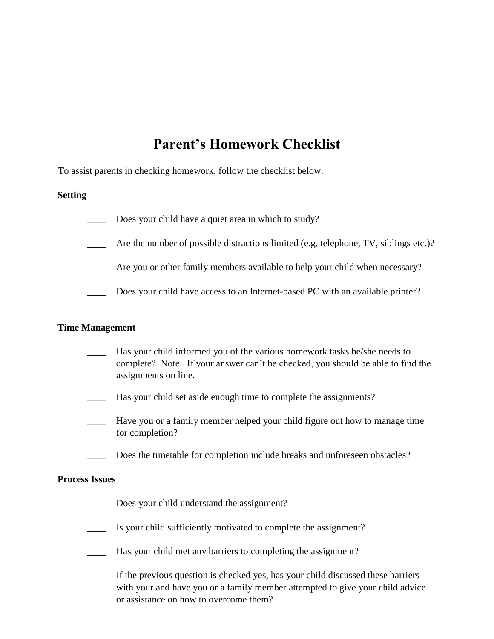## **Parent's Homework Checklist**

To assist parents in checking homework, follow the checklist below.

#### **Setting**

- Does your child have a quiet area in which to study?
- Are the number of possible distractions limited (e.g. telephone, TV, siblings etc.)?
- Are you or other family members available to help your child when necessary?
- \_\_\_\_ Does your child have access to an Internet-based PC with an available printer?

#### **Time Management**

- Has your child informed you of the various homework tasks he/she needs to complete? Note: If your answer can't be checked, you should be able to find the assignments on line.
- Has your child set aside enough time to complete the assignments?
- \_\_\_\_ Have you or a family member helped your child figure out how to manage time for completion?
- Does the timetable for completion include breaks and unforeseen obstacles?

#### **Process Issues**

- Does your child understand the assignment?
- Is your child sufficiently motivated to complete the assignment?
- Has your child met any barriers to completing the assignment?
- \_\_\_\_ If the previous question is checked yes, has your child discussed these barriers with your and have you or a family member attempted to give your child advice or assistance on how to overcome them?